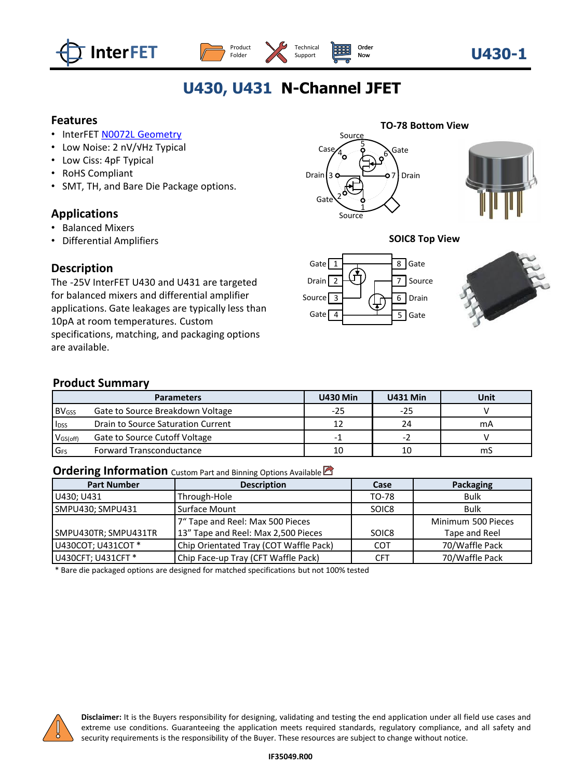





# **U430, U431 N-Channel JFET**

Support

### **Features**

- InterFET [N0072L Geometry](https://www.interfet.com/geometry-types/)
- Low Noise: 2 nV/√Hz Typical
- Low Ciss: 4pF Typical
- RoHS Compliant
- SMT, TH, and Bare Die Package options.

# **Applications**

- Balanced Mixers
- Differential Amplifiers

### **Description**

The -25V InterFET U430 and U431 are targeted for balanced mixers and differential amplifier applications. Gate leakages are typically less than 10pA at room temperatures. Custom specifications, matching, and packaging options are available.





#### **SOIC8 Top View**





# **Product Summary**

|                         | <b>Parameters</b>                  | <b>U430 Min</b> | <b>U431 Min</b> | <b>Unit</b> |  |  |
|-------------------------|------------------------------------|-----------------|-----------------|-------------|--|--|
| <b>BV<sub>GSS</sub></b> | Gate to Source Breakdown Voltage   | $-25$           | $-25$           |             |  |  |
| <b>IDSS</b>             | Drain to Source Saturation Current |                 | 24              | mA          |  |  |
| V <sub>GS(off)</sub>    | Gate to Source Cutoff Voltage      | -               |                 |             |  |  |
| <b>G<sub>FS</sub></b>   | <b>Forward Transconductance</b>    | 10              | 10              | mS          |  |  |

#### **Ordering Information** Custom Part and Binning Options Available

| <b>Part Number</b>   | <b>Description</b>                     | Case  | Packaging          |
|----------------------|----------------------------------------|-------|--------------------|
| U430; U431           | Through-Hole                           | TO-78 | <b>Bulk</b>        |
| SMPU430; SMPU431     | Surface Mount                          | SOIC8 | <b>Bulk</b>        |
|                      | 7" Tape and Reel: Max 500 Pieces       |       | Minimum 500 Pieces |
| SMPU430TR; SMPU431TR | 13" Tape and Reel: Max 2,500 Pieces    | SOIC8 | Tape and Reel      |
| U430COT; U431COT *   | Chip Orientated Tray (COT Waffle Pack) | COT   | 70/Waffle Pack     |
| U430CFT; U431CFT *   | Chip Face-up Tray (CFT Waffle Pack)    | CFT   | 70/Waffle Pack     |

\* Bare die packaged options are designed for matched specifications but not 100% tested



**Disclaimer:** It is the Buyers responsibility for designing, validating and testing the end application under all field use cases and extreme use conditions. Guaranteeing the application meets required standards, regulatory compliance, and all safety and security requirements is the responsibility of the Buyer. These resources are subject to change without notice.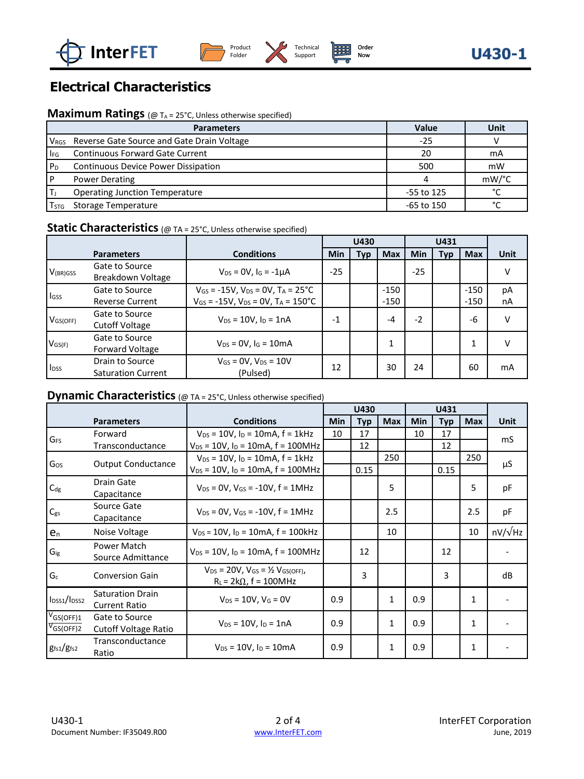





# **Electrical Characteristics**

# **Maximum Ratings** (@ T<sub>A</sub> = 25°C, Unless otherwise specified)

|                | <b>Parameters</b>                                           | Value      | <b>Unit</b>   |
|----------------|-------------------------------------------------------------|------------|---------------|
|                | V <sub>RGS</sub> Reverse Gate Source and Gate Drain Voltage | $-25$      |               |
| $I_{FG}$       | <b>Continuous Forward Gate Current</b>                      | 20         | mA            |
| P <sub>D</sub> | Continuous Device Power Dissipation                         | 500        | mW            |
|                | <b>Power Derating</b>                                       |            | mW/°C         |
|                | <b>Operating Junction Temperature</b>                       | -55 to 125 | $\mathcal{C}$ |
| Tstg           | Storage Temperature                                         | -65 to 150 | $\sim$        |

# **Static Characteristics** (@ TA = 25°C, Unless otherwise specified)

|                      |                                              |                                                                                                                              | U430  |     | U431             |            |            |                  |          |
|----------------------|----------------------------------------------|------------------------------------------------------------------------------------------------------------------------------|-------|-----|------------------|------------|------------|------------------|----------|
|                      | <b>Parameters</b>                            | <b>Conditions</b>                                                                                                            | Min   | Typ | <b>Max</b>       | <b>Min</b> | <b>Typ</b> | <b>Max</b>       | Unit     |
| V <sub>(BR)GSS</sub> | Gate to Source<br>Breakdown Voltage          | $V_{DS} = 0V$ , $I_G = -1\mu A$                                                                                              | $-25$ |     |                  | $-25$      |            |                  |          |
| lgss                 | Gate to Source<br><b>Reverse Current</b>     | $V_{GS}$ = -15V, $V_{DS}$ = 0V, T <sub>A</sub> = 25 <sup>°</sup> C<br>$V_{GS}$ = -15V, $V_{DS}$ = 0V, T <sub>A</sub> = 150°C |       |     | $-150$<br>$-150$ |            |            | $-150$<br>$-150$ | рA<br>nA |
| V <sub>GS(OFF)</sub> | Gate to Source<br><b>Cutoff Voltage</b>      | $V_{DS} = 10V$ , $I_D = 1nA$                                                                                                 | $-1$  |     | $-4$             | $-2$       |            | -6               | v        |
| $V$ <sub>GS(F)</sub> | Gate to Source<br><b>Forward Voltage</b>     | $V_{DS} = 0V$ , $I_G = 10mA$                                                                                                 |       |     |                  |            |            |                  |          |
| l <sub>DSS</sub>     | Drain to Source<br><b>Saturation Current</b> | $V_{GS} = 0V$ , $V_{DS} = 10V$<br>(Pulsed)                                                                                   | 12    |     | 30               | 24         |            | 60               | mA       |

# **Dynamic Characteristics** (@ TA = 25°C, Unless otherwise specified)

|                       |                             |                                                       | U430       |            | U431       |            |            |              |                |
|-----------------------|-----------------------------|-------------------------------------------------------|------------|------------|------------|------------|------------|--------------|----------------|
|                       | <b>Parameters</b>           | <b>Conditions</b>                                     | <b>Min</b> | <b>Typ</b> | <b>Max</b> | <b>Min</b> | <b>Typ</b> | <b>Max</b>   | Unit           |
|                       | Forward                     | $V_{DS}$ = 10V, $I_D$ = 10mA, f = 1kHz                | 10         | 17         |            | 10         | 17         |              | mS             |
| <b>G<sub>FS</sub></b> | Transconductance            | $V_{DS}$ = 10V, $I_D$ = 10mA, $f$ = 100MHz            |            | 12         |            |            | 12         |              |                |
| Gos                   |                             | $V_{DS}$ = 10V, $I_D$ = 10mA, $f = 1$ kHz             |            |            | 250        |            |            | 250          |                |
|                       | <b>Output Conductance</b>   | $V_{DS}$ = 10V, $I_D$ = 10mA, $f$ = 100MHz            |            | 0.15       |            |            | 0.15       |              | μS             |
|                       | Drain Gate                  | $V_{DS} = 0V$ , $V_{GS} = -10V$ , $f = 1MHz$          |            |            | 5          |            |            | 5            | рF             |
| C <sub>dg</sub>       | Capacitance                 |                                                       |            |            |            |            |            |              |                |
| $C_{gs}$              | Source Gate                 | $V_{DS} = 0V$ . $V_{GS} = -10V$ . $f = 1MHz$          |            |            | 2.5        |            |            | $2.5\,$      | рF             |
|                       | Capacitance                 |                                                       |            |            |            |            |            |              |                |
| e <sub>n</sub>        | Noise Voltage               | $V_{DS}$ = 10V, $I_D$ = 10mA, $f$ = 100kHz            |            |            | 10         |            |            | 10           | $nV/\sqrt{Hz}$ |
|                       | Power Match                 | $V_{DS}$ = 10V, $I_D$ = 10mA, f = 100MHz              |            | 12         |            |            | 12         |              |                |
| Gig                   | Source Admittance           |                                                       |            |            |            |            |            |              |                |
| $G_c$                 | <b>Conversion Gain</b>      | $V_{DS}$ = 20V, $V_{GS}$ = $\frac{1}{2}V_{GS(OFF)}$ , |            | 3          |            |            | 3          |              | dB             |
|                       |                             | $R_L = 2k\Omega$ , f = 100MHz                         |            |            |            |            |            |              |                |
| $I_{DSS1}/I_{DSS2}$   | <b>Saturation Drain</b>     | $V_{DS} = 10V$ , $V_G = 0V$                           | 0.9        |            | 1          | 0.9        |            | 1            |                |
|                       | <b>Current Ratio</b>        |                                                       |            |            |            |            |            |              |                |
| $V_{GS(OFF)1}$        | Gate to Source              | $V_{DS} = 10V$ , $I_D = 1nA$                          | 0.9        |            | 1          | 0.9        |            | $\mathbf{1}$ |                |
| <sup>V</sup> GS(OFF)2 | <b>Cutoff Voltage Ratio</b> |                                                       |            |            |            |            |            |              |                |
| $g_{fs1}/g_{fs2}$     | Transconductance            | $V_{DS} = 10V$ , $I_D = 10mA$                         | 0.9        |            | 1          | 0.9        |            | 1            |                |
|                       | Ratio                       |                                                       |            |            |            |            |            |              |                |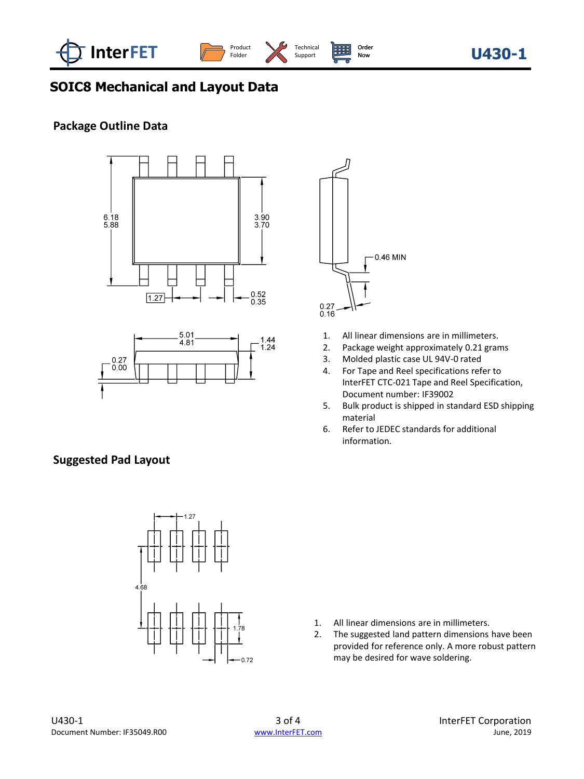



# **SOIC8 Mechanical and Layout Data**

# **Package Outline Data**







- 1. All linear dimensions are in millimeters.<br>2. Package weight approximately 0.21 gran
- Package weight approximately 0.21 grams
- 3. Molded plastic case UL 94V-0 rated
- 4. For Tape and Reel specifications refer to InterFET CTC-021 Tape and Reel Specification, Document number: IF39002
- 5. Bulk product is shipped in standard ESD shipping material
- 6. Refer to JEDEC standards for additional information.

# **Suggested Pad Layout**



- 1. All linear dimensions are in millimeters.
- 2. The suggested land pattern dimensions have been provided for reference only. A more robust pattern may be desired for wave soldering.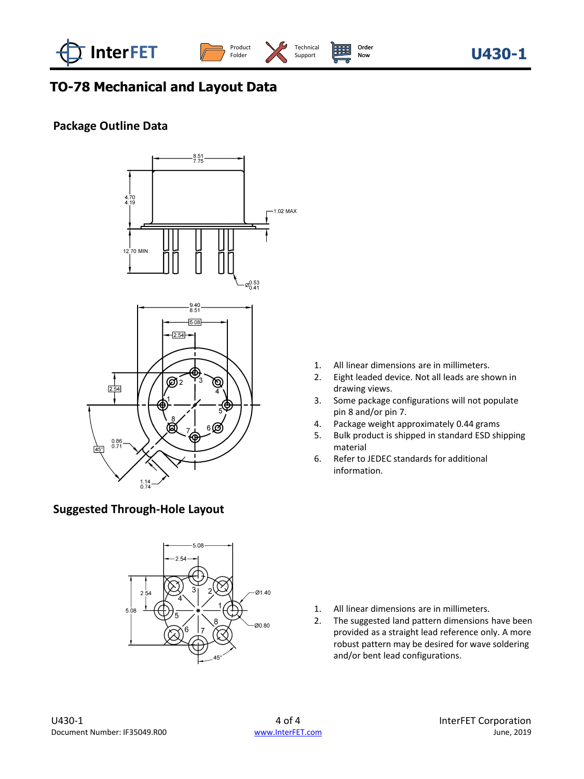



# **TO-78 Mechanical and Layout Data**

# **Package Outline Data**



# **Suggested Through-Hole Layout**



- 1. All linear dimensions are in millimeters.
- 2. Eight leaded device. Not all leads are shown in drawing views.
- 3. Some package configurations will not populate pin 8 and/or pin 7.
- 4. Package weight approximately 0.44 grams
- 5. Bulk product is shipped in standard ESD shipping material
- 6. Refer to JEDEC standards for additional information.

- 1. All linear dimensions are in millimeters.
- 2. The suggested land pattern dimensions have been provided as a straight lead reference only. A more robust pattern may be desired for wave soldering and/or bent lead configurations.